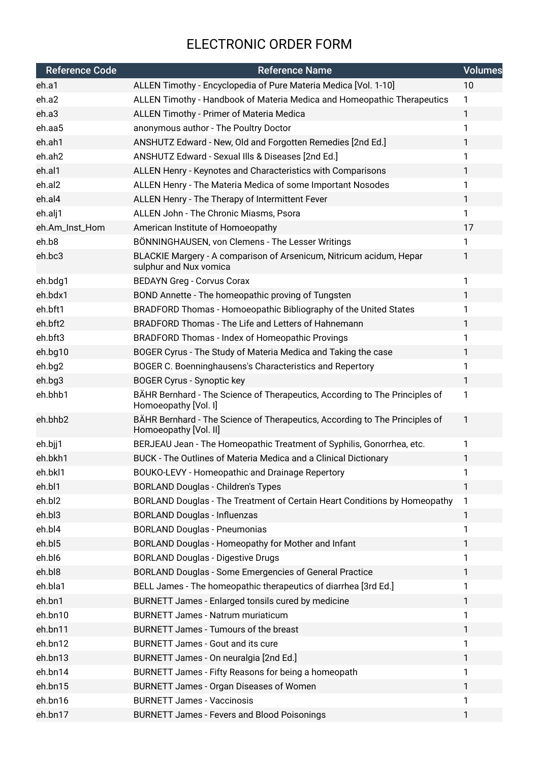## ELECTRONIC ORDER FORM

| <b>Reference Code</b><br><b>Reference Name</b>                                                                                  | <b>Volumes</b> |
|---------------------------------------------------------------------------------------------------------------------------------|----------------|
| ALLEN Timothy - Encyclopedia of Pure Materia Medica [Vol. 1-10]<br>eh.a1                                                        | 10             |
| ALLEN Timothy - Handbook of Materia Medica and Homeopathic Therapeutics<br>eh.a2<br>$\mathbf{1}$                                |                |
| ALLEN Timothy - Primer of Materia Medica<br>$\mathbf{1}$<br>eh.a3                                                               |                |
| eh.aa5<br>anonymous author - The Poultry Doctor<br>$\mathbf{1}$                                                                 |                |
| eh.ah1<br>ANSHUTZ Edward - New, Old and Forgotten Remedies [2nd Ed.]<br>1                                                       |                |
| eh.ah2<br>ANSHUTZ Edward - Sexual IIIs & Diseases [2nd Ed.]<br>1                                                                |                |
| eh.al1<br>ALLEN Henry - Keynotes and Characteristics with Comparisons<br>$\mathbf{1}$                                           |                |
| eh.al2<br>ALLEN Henry - The Materia Medica of some Important Nosodes<br>1                                                       |                |
| eh.al4<br>ALLEN Henry - The Therapy of Intermittent Fever<br>$\mathbf{1}$                                                       |                |
| ALLEN John - The Chronic Miasms, Psora<br>1<br>eh.alj1                                                                          |                |
| eh.Am_Inst_Hom<br>American Institute of Homoeopathy                                                                             | 17             |
| eh.b8<br>BÖNNINGHAUSEN, von Clemens - The Lesser Writings<br>$\mathbf{1}$                                                       |                |
| eh.bc3<br>BLACKIE Margery - A comparison of Arsenicum, Nitricum acidum, Hepar<br>1<br>sulphur and Nux vomica                    |                |
| $\mathbf{1}$<br>eh.bdg1<br><b>BEDAYN Greg - Corvus Corax</b>                                                                    |                |
| eh.bdx1<br>BOND Annette - The homeopathic proving of Tungsten<br>1                                                              |                |
| eh.bft1<br>BRADFORD Thomas - Homoeopathic Bibliography of the United States<br>1                                                |                |
| BRADFORD Thomas - The Life and Letters of Hahnemann<br>eh.bft2<br>$\mathbf{1}$                                                  |                |
| eh.bft3<br>1<br><b>BRADFORD Thomas - Index of Homeopathic Provings</b>                                                          |                |
| eh.bg10<br>BOGER Cyrus - The Study of Materia Medica and Taking the case<br>$\mathbf{1}$                                        |                |
| eh.bg2<br>BOGER C. Boenninghausens's Characteristics and Repertory<br>1                                                         |                |
| 1<br>eh.bg3<br><b>BOGER Cyrus - Synoptic key</b>                                                                                |                |
| eh.bhb1<br>BÄHR Bernhard - The Science of Therapeutics, According to The Principles of<br>$\mathbf{1}$<br>Homoeopathy [Vol. I]  |                |
| eh.bhb2<br>BÄHR Bernhard - The Science of Therapeutics, According to The Principles of<br>$\mathbf{1}$<br>Homoeopathy [Vol. II] |                |
| $\mathbf{1}$<br>eh.bjj1<br>BERJEAU Jean - The Homeopathic Treatment of Syphilis, Gonorrhea, etc.                                |                |
| eh.bkh1<br>BUCK - The Outlines of Materia Medica and a Clinical Dictionary<br>1                                                 |                |
| eh.bkl1<br><b>BOUKO-LEVY - Homeopathic and Drainage Repertory</b><br>1                                                          |                |
| eh.bl1<br>$\mathbf{1}$<br><b>BORLAND Douglas - Children's Types</b>                                                             |                |
| eh.bl2<br>BORLAND Douglas - The Treatment of Certain Heart Conditions by Homeopathy<br>$\mathbf{1}$                             |                |
| eh.bl3<br><b>BORLAND Douglas - Influenzas</b><br>$\mathbf{1}$                                                                   |                |
| eh.bl4<br><b>BORLAND Douglas - Pneumonias</b><br>1                                                                              |                |
| eh.bl5<br>BORLAND Douglas - Homeopathy for Mother and Infant<br>$\mathbf{1}$                                                    |                |
| eh.bl6<br><b>BORLAND Douglas - Digestive Drugs</b><br>1                                                                         |                |
| eh.bl8<br>BORLAND Douglas - Some Emergencies of General Practice<br>1                                                           |                |
| eh.bla1<br>BELL James - The homeopathic therapeutics of diarrhea [3rd Ed.]<br>1                                                 |                |
| eh.bn1<br>BURNETT James - Enlarged tonsils cured by medicine<br>$\mathbf{1}$                                                    |                |
| eh.bn10<br><b>BURNETT James - Natrum muriaticum</b><br>1                                                                        |                |
| eh.bn11<br>BURNETT James - Tumours of the breast<br>1                                                                           |                |
| eh.bn12<br><b>BURNETT James - Gout and its cure</b><br>$\mathbf{1}$                                                             |                |
| eh.bn13<br>BURNETT James - On neuralgia [2nd Ed.]<br>$\mathbf{1}$                                                               |                |
| eh.bn14<br>BURNETT James - Fifty Reasons for being a homeopath<br>1                                                             |                |
| eh.bn15<br>BURNETT James - Organ Diseases of Women<br>$\mathbf{1}$                                                              |                |
| eh.bn16<br><b>BURNETT James - Vaccinosis</b><br>1                                                                               |                |
| eh.bn17<br><b>BURNETT James - Fevers and Blood Poisonings</b><br>1                                                              |                |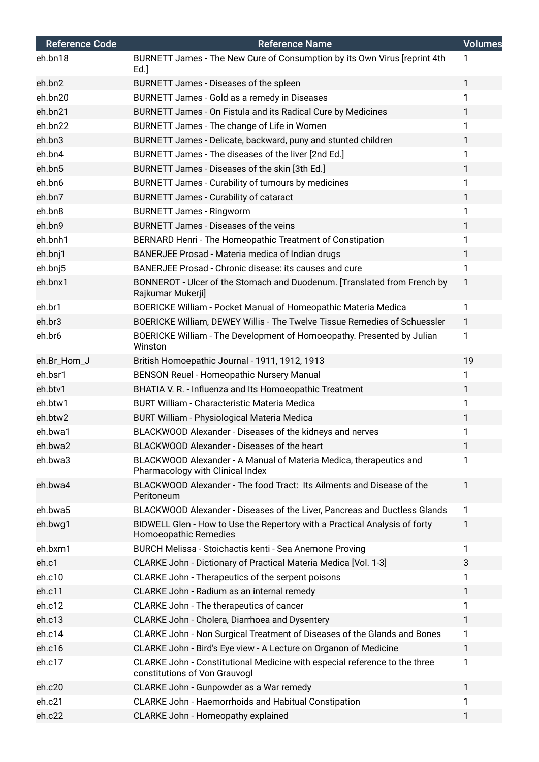| <b>Reference Code</b> | <b>Reference Name</b>                                                                                       | <b>Volumes</b> |
|-----------------------|-------------------------------------------------------------------------------------------------------------|----------------|
| eh.bn18               | BURNETT James - The New Cure of Consumption by its Own Virus [reprint 4th<br>Ed.                            | 1              |
| eh.bn2                | BURNETT James - Diseases of the spleen                                                                      | $\mathbf{1}$   |
| eh.bn20               | BURNETT James - Gold as a remedy in Diseases                                                                | 1              |
| eh.bn21               | BURNETT James - On Fistula and its Radical Cure by Medicines                                                | $\mathbf{1}$   |
| eh.bn22               | BURNETT James - The change of Life in Women                                                                 | $\mathbf{1}$   |
| eh.bn3                | BURNETT James - Delicate, backward, puny and stunted children                                               | $\mathbf{1}$   |
| eh.bn4                | BURNETT James - The diseases of the liver [2nd Ed.]                                                         | 1              |
| eh.bn5                | BURNETT James - Diseases of the skin [3th Ed.]                                                              | 1              |
| eh.bn6                | BURNETT James - Curability of tumours by medicines                                                          | 1              |
| eh.bn7                | BURNETT James - Curability of cataract                                                                      | $\mathbf{1}$   |
| eh.bn8                | <b>BURNETT James - Ringworm</b>                                                                             | $\mathbf{1}$   |
| eh.bn9                | <b>BURNETT James - Diseases of the veins</b>                                                                | 1              |
| eh.bnh1               | BERNARD Henri - The Homeopathic Treatment of Constipation                                                   | 1              |
| eh.bnj1               | BANERJEE Prosad - Materia medica of Indian drugs                                                            | $\mathbf{1}$   |
| eh.bnj5               | BANERJEE Prosad - Chronic disease: its causes and cure                                                      | $\mathbf{1}$   |
| eh.bnx1               | BONNEROT - Ulcer of the Stomach and Duodenum. [Translated from French by<br>Rajkumar Mukerji]               | 1              |
| eh.br1                | BOERICKE William - Pocket Manual of Homeopathic Materia Medica                                              | 1              |
| eh.br3                | BOERICKE William, DEWEY Willis - The Twelve Tissue Remedies of Schuessler                                   | $\mathbf{1}$   |
| eh.br6                | BOERICKE William - The Development of Homoeopathy. Presented by Julian<br>Winston                           | $\mathbf{1}$   |
| eh.Br_Hom_J           | British Homoepathic Journal - 1911, 1912, 1913                                                              | 19             |
| eh.bsr1               | BENSON Reuel - Homeopathic Nursery Manual                                                                   | $\mathbf{1}$   |
| eh.btv1               | BHATIA V. R. - Influenza and Its Homoeopathic Treatment                                                     | $\mathbf{1}$   |
| eh.btw1               | BURT William - Characteristic Materia Medica                                                                | $\mathbf{1}$   |
| eh.btw2               | BURT William - Physiological Materia Medica                                                                 | $\mathbf{1}$   |
| eh.bwa1               | BLACKWOOD Alexander - Diseases of the kidneys and nerves                                                    | 1              |
| eh.bwa2               | BLACKWOOD Alexander - Diseases of the heart                                                                 | 1              |
| eh.bwa3               | BLACKWOOD Alexander - A Manual of Materia Medica, therapeutics and<br>Pharmacology with Clinical Index      | 1              |
| eh.bwa4               | BLACKWOOD Alexander - The food Tract: Its Ailments and Disease of the<br>Peritoneum                         | $\mathbf{1}$   |
| eh.bwa5               | BLACKWOOD Alexander - Diseases of the Liver, Pancreas and Ductless Glands                                   | $\mathbf{1}$   |
| eh.bwg1               | BIDWELL Glen - How to Use the Repertory with a Practical Analysis of forty<br>Homoeopathic Remedies         | 1              |
| eh.bxm1               | BURCH Melissa - Stoichactis kenti - Sea Anemone Proving                                                     | 1              |
| eh.c1                 | CLARKE John - Dictionary of Practical Materia Medica [Vol. 1-3]                                             | 3              |
| eh.c10                | CLARKE John - Therapeutics of the serpent poisons                                                           | 1              |
| eh.c11                | CLARKE John - Radium as an internal remedy                                                                  | $\mathbf{1}$   |
| eh.c12                | CLARKE John - The therapeutics of cancer                                                                    | 1              |
| eh.c13                | CLARKE John - Cholera, Diarrhoea and Dysentery                                                              | 1              |
| eh.c14                | CLARKE John - Non Surgical Treatment of Diseases of the Glands and Bones                                    | $\mathbf{1}$   |
| eh.c16                | CLARKE John - Bird's Eye view - A Lecture on Organon of Medicine                                            | $\mathbf{1}$   |
| eh.c17                | CLARKE John - Constitutional Medicine with especial reference to the three<br>constitutions of Von Grauvogl | 1              |
| eh.c20                | CLARKE John - Gunpowder as a War remedy                                                                     | $\mathbf{1}$   |
| eh.c21                | CLARKE John - Haemorrhoids and Habitual Constipation                                                        | 1              |
| eh.c22                | CLARKE John - Homeopathy explained                                                                          | 1              |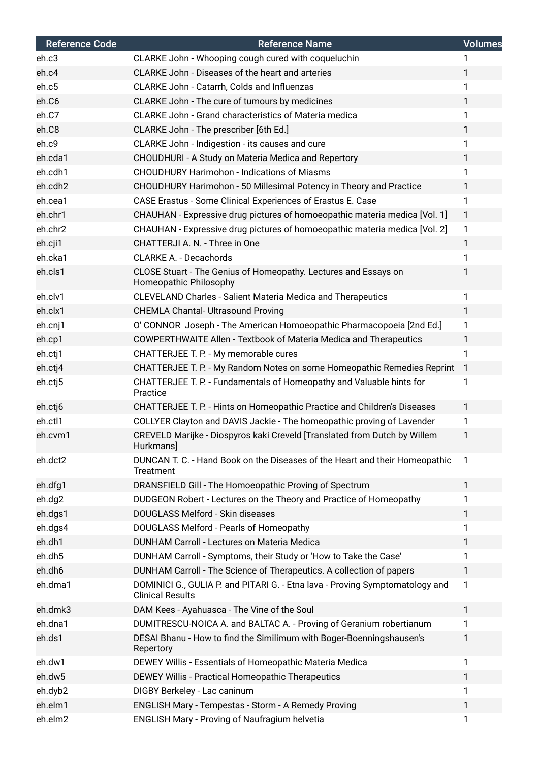| <b>Reference Code</b> | <b>Reference Name</b>                                                                                   | <b>Volumes</b> |
|-----------------------|---------------------------------------------------------------------------------------------------------|----------------|
| eh.c3                 | CLARKE John - Whooping cough cured with coqueluchin                                                     | 1              |
| eh.c4                 | CLARKE John - Diseases of the heart and arteries                                                        | 1              |
| eh.c5                 | CLARKE John - Catarrh, Colds and Influenzas                                                             | $\mathbf{1}$   |
| eh.C6                 | CLARKE John - The cure of tumours by medicines                                                          | 1              |
| eh.C7                 | <b>CLARKE John - Grand characteristics of Materia medica</b>                                            | 1              |
| eh.C8                 | CLARKE John - The prescriber [6th Ed.]                                                                  | $\mathbf{1}$   |
| eh.c9                 | CLARKE John - Indigestion - its causes and cure                                                         | 1              |
| eh.cda1               | CHOUDHURI - A Study on Materia Medica and Repertory                                                     | $\mathbf{1}$   |
| eh.cdh1               | <b>CHOUDHURY Harimohon - Indications of Miasms</b>                                                      | 1              |
| eh.cdh2               | CHOUDHURY Harimohon - 50 Millesimal Potency in Theory and Practice                                      | $\mathbf{1}$   |
| eh.cea1               | CASE Erastus - Some Clinical Experiences of Erastus E. Case                                             | $\mathbf{1}$   |
| eh.chr1               | CHAUHAN - Expressive drug pictures of homoeopathic materia medica [Vol. 1]                              | $\mathbf{1}$   |
| eh.chr2               | CHAUHAN - Expressive drug pictures of homoeopathic materia medica [Vol. 2]                              | $\mathbf{1}$   |
| eh.cji1               | CHATTERJI A. N. - Three in One                                                                          | $\mathbf{1}$   |
| eh.cka1               | <b>CLARKE A. - Decachords</b>                                                                           | 1              |
| eh.cls1               | CLOSE Stuart - The Genius of Homeopathy. Lectures and Essays on<br>Homeopathic Philosophy               | 1              |
| eh.clv1               | <b>CLEVELAND Charles - Salient Materia Medica and Therapeutics</b>                                      | 1              |
| eh.clx1               | <b>CHEMLA Chantal- Ultrasound Proving</b>                                                               | $\mathbf{1}$   |
| eh.cnj1               | O' CONNOR Joseph - The American Homoeopathic Pharmacopoeia [2nd Ed.]                                    | $\mathbf{1}$   |
| eh.cp1                | <b>COWPERTHWAITE Allen - Textbook of Materia Medica and Therapeutics</b>                                | $\mathbf{1}$   |
| eh.ctj1               | CHATTERJEE T. P. - My memorable cures                                                                   | 1              |
| eh.ctj4               | CHATTERJEE T. P. - My Random Notes on some Homeopathic Remedies Reprint                                 | $\mathbf{1}$   |
| eh.ctj5               | CHATTERJEE T. P. - Fundamentals of Homeopathy and Valuable hints for<br>Practice                        | 1              |
| eh.ctj6               | CHATTERJEE T. P. - Hints on Homeopathic Practice and Children's Diseases                                | $\mathbf{1}$   |
| eh.ctl1               | COLLYER Clayton and DAVIS Jackie - The homeopathic proving of Lavender                                  | $\mathbf{1}$   |
| eh.cvm1               | CREVELD Marijke - Diospyros kaki Creveld [Translated from Dutch by Willem<br>Hurkmans]                  | 1              |
| eh.dct2               | DUNCAN T. C. - Hand Book on the Diseases of the Heart and their Homeopathic<br>Treatment                | 1              |
| eh.dfg1               | DRANSFIELD Gill - The Homoeopathic Proving of Spectrum                                                  | $\mathbf{1}$   |
| eh.dg2                | DUDGEON Robert - Lectures on the Theory and Practice of Homeopathy                                      | 1              |
| eh.dgs1               | DOUGLASS Melford - Skin diseases                                                                        | $\mathbf{1}$   |
| eh.dgs4               | DOUGLASS Melford - Pearls of Homeopathy                                                                 | 1              |
| eh.dh1                | DUNHAM Carroll - Lectures on Materia Medica                                                             | 1              |
| eh.dh5                | DUNHAM Carroll - Symptoms, their Study or 'How to Take the Case'                                        | 1              |
| eh.dh6                | DUNHAM Carroll - The Science of Therapeutics. A collection of papers                                    | 1              |
| eh.dma1               | DOMINICI G., GULIA P. and PITARI G. - Etna lava - Proving Symptomatology and<br><b>Clinical Results</b> | $\mathbf{1}$   |
| eh.dmk3               | DAM Kees - Ayahuasca - The Vine of the Soul                                                             | $\mathbf{1}$   |
| eh.dna1               | DUMITRESCU-NOICA A. and BALTAC A. - Proving of Geranium robertianum                                     | 1              |
| eh.ds1                | DESAI Bhanu - How to find the Similimum with Boger-Boenningshausen's<br>Repertory                       | 1              |
| eh.dw1                | DEWEY Willis - Essentials of Homeopathic Materia Medica                                                 | $\mathbf{1}$   |
| eh.dw5                | DEWEY Willis - Practical Homeopathic Therapeutics                                                       | 1              |
| eh.dyb2               | DIGBY Berkeley - Lac caninum                                                                            | 1              |
| eh.elm1               | ENGLISH Mary - Tempestas - Storm - A Remedy Proving                                                     | 1              |
| eh.elm2               | <b>ENGLISH Mary - Proving of Naufragium helvetia</b>                                                    | 1              |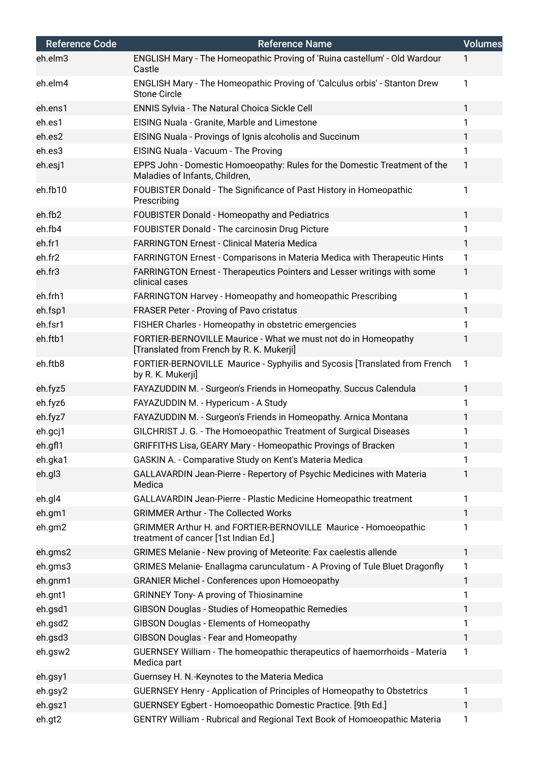| <b>Reference Code</b> | <b>Reference Name</b>                                                                                       | <b>Volumes</b> |
|-----------------------|-------------------------------------------------------------------------------------------------------------|----------------|
| eh.elm3               | ENGLISH Mary - The Homeopathic Proving of 'Ruina castellum' - Old Wardour<br>Castle                         |                |
| eh.elm4               | ENGLISH Mary - The Homeopathic Proving of 'Calculus orbis' - Stanton Drew<br><b>Stone Circle</b>            | 1              |
| eh.ens1               | <b>ENNIS Sylvia - The Natural Choica Sickle Cell</b>                                                        | $\mathbf{1}$   |
| eh.es1                | EISING Nuala - Granite, Marble and Limestone                                                                | 1              |
| eh.es2                | EISING Nuala - Provings of Ignis alcoholis and Succinum                                                     | 1              |
| eh.es3                | EISING Nuala - Vacuum - The Proving                                                                         | 1              |
| eh.esj1               | EPPS John - Domestic Homoeopathy: Rules for the Domestic Treatment of the<br>Maladies of Infants, Children, | 1              |
| eh.fb10               | FOUBISTER Donald - The Significance of Past History in Homeopathic<br>Prescribing                           | 1              |
| eh.fb2                | <b>FOUBISTER Donald - Homeopathy and Pediatrics</b>                                                         | 1              |
| eh.fb4                | FOUBISTER Donald - The carcinosin Drug Picture                                                              | 1              |
| eh.fr1                | <b>FARRINGTON Ernest - Clinical Materia Medica</b>                                                          | 1              |
| eh.fr2                | FARRINGTON Ernest - Comparisons in Materia Medica with Therapeutic Hints                                    | 1              |
| eh.fr3                | FARRINGTON Ernest - Therapeutics Pointers and Lesser writings with some<br>clinical cases                   | 1              |
| eh.frh1               | FARRINGTON Harvey - Homeopathy and homeopathic Prescribing                                                  | 1              |
| eh.fsp1               | FRASER Peter - Proving of Pavo cristatus                                                                    | 1              |
| eh.fsr1               | FISHER Charles - Homeopathy in obstetric emergencies                                                        | 1              |
| eh.ftb1               | FORTIER-BERNOVILLE Maurice - What we must not do in Homeopathy<br>[Translated from French by R. K. Mukerji] | 1              |
| eh.ftb8               | FORTIER-BERNOVILLE Maurice - Syphyilis and Sycosis [Translated from French<br>by R. K. Mukerji]             | $\mathbf{1}$   |
| eh.fyz5               | FAYAZUDDIN M. - Surgeon's Friends in Homeopathy. Succus Calendula                                           | 1              |
| eh.fyz6               | FAYAZUDDIN M. - Hypericum - A Study                                                                         | 1              |
| eh.fyz7               | FAYAZUDDIN M. - Surgeon's Friends in Homeopathy. Arnica Montana                                             | 1              |
| eh.gcj1               | GILCHRIST J. G. - The Homoeopathic Treatment of Surgical Diseases                                           | 1              |
| eh.gfl1               | GRIFFITHS Lisa, GEARY Mary - Homeopathic Provings of Bracken                                                | 1              |
| eh.gka1               | GASKIN A. - Comparative Study on Kent's Materia Medica                                                      | 1.             |
| eh.gl3                | GALLAVARDIN Jean-Pierre - Repertory of Psychic Medicines with Materia<br>Medica                             | 1              |
| eh.gl4                | GALLAVARDIN Jean-Pierre - Plastic Medicine Homeopathic treatment                                            | 1              |
| eh.gm1                | <b>GRIMMER Arthur - The Collected Works</b>                                                                 | 1              |
| eh.gm2                | GRIMMER Arthur H. and FORTIER-BERNOVILLE Maurice - Homoeopathic<br>treatment of cancer [1st Indian Ed.]     | 1              |
| eh.gms2               | GRIMES Melanie - New proving of Meteorite: Fax caelestis allende                                            | $\mathbf{1}$   |
| eh.gms3               | GRIMES Melanie-Enallagma carunculatum - A Proving of Tule Bluet Dragonfly                                   | 1              |
| eh.gnm1               | <b>GRANIER Michel - Conferences upon Homoeopathy</b>                                                        | 1              |
| eh.gnt1               | <b>GRINNEY Tony- A proving of Thiosinamine</b>                                                              | 1              |
| eh.gsd1               | GIBSON Douglas - Studies of Homeopathic Remedies                                                            | 1              |
| eh.gsd2               | GIBSON Douglas - Elements of Homeopathy                                                                     | 1              |
| eh.gsd3               | GIBSON Douglas - Fear and Homeopathy                                                                        | 1              |
| eh.gsw2               | GUERNSEY William - The homeopathic therapeutics of haemorrhoids - Materia<br>Medica part                    | 1              |
| eh.gsy1               | Guernsey H. N.-Keynotes to the Materia Medica                                                               |                |
| eh.gsy2               | GUERNSEY Henry - Application of Principles of Homeopathy to Obstetrics                                      | 1              |
| eh.gsz1               | GUERNSEY Egbert - Homoeopathic Domestic Practice. [9th Ed.]                                                 | 1              |
| eh.gt2                | GENTRY William - Rubrical and Regional Text Book of Homoeopathic Materia                                    | 1              |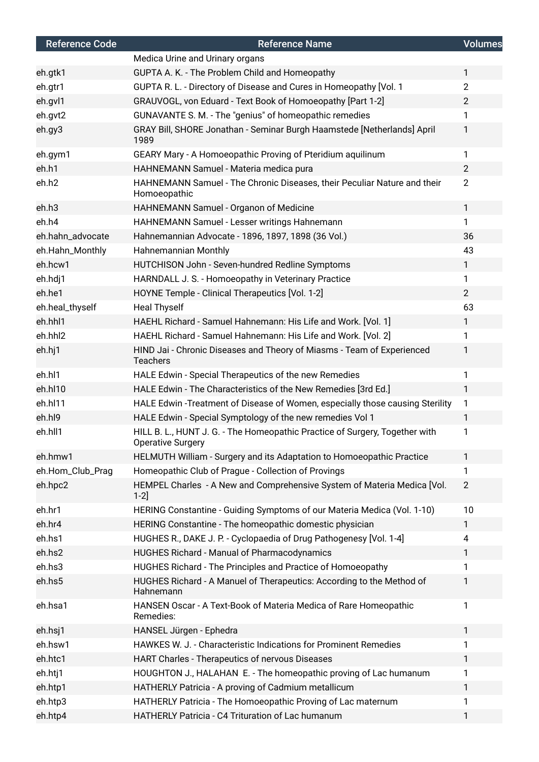| <b>Reference Code</b> | <b>Reference Name</b>                                                                                   | <b>Volumes</b> |
|-----------------------|---------------------------------------------------------------------------------------------------------|----------------|
|                       | Medica Urine and Urinary organs                                                                         |                |
| eh.gtk1               | GUPTA A. K. - The Problem Child and Homeopathy                                                          | $\mathbf{1}$   |
| eh.gtr1               | GUPTA R. L. - Directory of Disease and Cures in Homeopathy [Vol. 1                                      | $\overline{2}$ |
| eh.gvl1               | GRAUVOGL, von Eduard - Text Book of Homoeopathy [Part 1-2]                                              | $\overline{2}$ |
| eh.gvt2               | GUNAVANTE S. M. - The "genius" of homeopathic remedies                                                  | 1              |
| eh.gy3                | GRAY Bill, SHORE Jonathan - Seminar Burgh Haamstede [Netherlands] April<br>1989                         | 1              |
| eh.gym1               | GEARY Mary - A Homoeopathic Proving of Pteridium aquilinum                                              | 1              |
| eh.h1                 | HAHNEMANN Samuel - Materia medica pura                                                                  | $\overline{2}$ |
| eh.h2                 | HAHNEMANN Samuel - The Chronic Diseases, their Peculiar Nature and their<br>Homoeopathic                | $\overline{2}$ |
| eh.h3                 | HAHNEMANN Samuel - Organon of Medicine                                                                  | $\mathbf{1}$   |
| eh.h4                 | HAHNEMANN Samuel - Lesser writings Hahnemann                                                            | 1.             |
| eh.hahn_advocate      | Hahnemannian Advocate - 1896, 1897, 1898 (36 Vol.)                                                      | 36             |
| eh.Hahn_Monthly       | Hahnemannian Monthly                                                                                    | 43             |
| eh.hcw1               | HUTCHISON John - Seven-hundred Redline Symptoms                                                         | $\mathbf{1}$   |
| eh.hdj1               | HARNDALL J. S. - Homoeopathy in Veterinary Practice                                                     | 1              |
| eh.he1                | HOYNE Temple - Clinical Therapeutics [Vol. 1-2]                                                         | $\overline{2}$ |
| eh.heal_thyself       | <b>Heal Thyself</b>                                                                                     | 63             |
| eh.hhl1               | HAEHL Richard - Samuel Hahnemann: His Life and Work. [Vol. 1]                                           | $\mathbf{1}$   |
| eh.hhl2               | HAEHL Richard - Samuel Hahnemann: His Life and Work. [Vol. 2]                                           | 1              |
| eh.hj1                | HIND Jai - Chronic Diseases and Theory of Miasms - Team of Experienced<br><b>Teachers</b>               | 1              |
| eh.hl1                | HALE Edwin - Special Therapeutics of the new Remedies                                                   | 1              |
| eh.hl10               | HALE Edwin - The Characteristics of the New Remedies [3rd Ed.]                                          | 1              |
| eh.hl11               | HALE Edwin -Treatment of Disease of Women, especially those causing Sterility                           | 1              |
| eh.hl9                | HALE Edwin - Special Symptology of the new remedies Vol 1                                               | $\mathbf{1}$   |
| eh.hll1               | HILL B. L., HUNT J. G. - The Homeopathic Practice of Surgery, Together with<br><b>Operative Surgery</b> | 1              |
| eh.hmw1               | HELMUTH William - Surgery and its Adaptation to Homoeopathic Practice                                   | $\mathbf{1}$   |
| eh.Hom_Club_Prag      | Homeopathic Club of Prague - Collection of Provings                                                     | 1              |
| eh.hpc2               | HEMPEL Charles - A New and Comprehensive System of Materia Medica [Vol.<br>$1-2$ ]                      | $\overline{2}$ |
| eh.hr1                | HERING Constantine - Guiding Symptoms of our Materia Medica (Vol. 1-10)                                 | 10             |
| eh.hr4                | HERING Constantine - The homeopathic domestic physician                                                 | $\mathbf{1}$   |
| eh.hs1                | HUGHES R., DAKE J. P. - Cyclopaedia of Drug Pathogenesy [Vol. 1-4]                                      | 4              |
| eh.hs2                | HUGHES Richard - Manual of Pharmacodynamics                                                             | $\mathbf{1}$   |
| eh.hs3                | HUGHES Richard - The Principles and Practice of Homoeopathy                                             | 1              |
| eh.hs5                | HUGHES Richard - A Manuel of Therapeutics: According to the Method of<br>Hahnemann                      | 1              |
| eh.hsa1               | HANSEN Oscar - A Text-Book of Materia Medica of Rare Homeopathic<br>Remedies:                           | 1              |
| eh.hsj1               | HANSEL Jürgen - Ephedra                                                                                 | $\mathbf{1}$   |
| eh.hsw1               | HAWKES W. J. - Characteristic Indications for Prominent Remedies                                        | 1.             |
| eh.htc1               | HART Charles - Therapeutics of nervous Diseases                                                         | $\mathbf{1}$   |
| eh.htj1               | HOUGHTON J., HALAHAN E. - The homeopathic proving of Lac humanum                                        | 1              |
| eh.htp1               | HATHERLY Patricia - A proving of Cadmium metallicum                                                     | 1              |
| eh.htp3               | HATHERLY Patricia - The Homoeopathic Proving of Lac maternum                                            | 1              |
| eh.htp4               | HATHERLY Patricia - C4 Trituration of Lac humanum                                                       | 1              |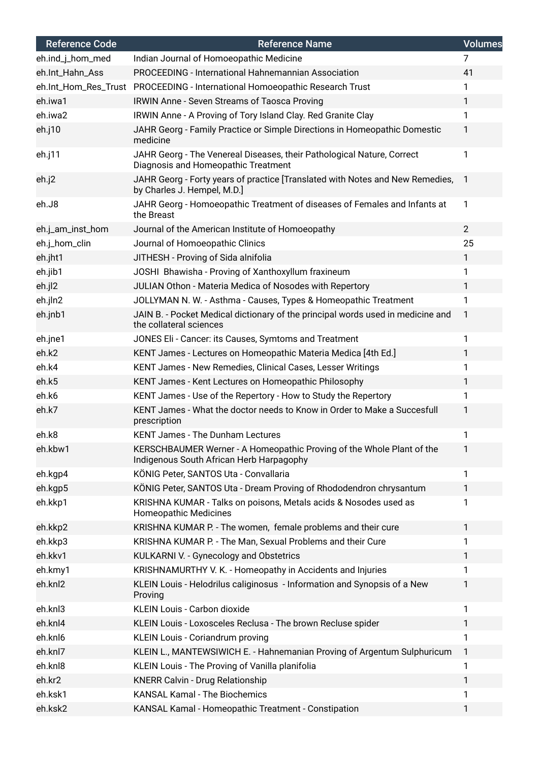| <b>Reference Code</b> | <b>Reference Name</b>                                                                                             | Volumes        |
|-----------------------|-------------------------------------------------------------------------------------------------------------------|----------------|
| eh.ind_j_hom_med      | Indian Journal of Homoeopathic Medicine                                                                           | 7              |
| eh.Int_Hahn_Ass       | PROCEEDING - International Hahnemannian Association                                                               | 41             |
| eh.Int_Hom_Res_Trust  | PROCEEDING - International Homoeopathic Research Trust                                                            | 1              |
| eh.iwa1               | <b>IRWIN Anne - Seven Streams of Taosca Proving</b>                                                               | $\mathbf{1}$   |
| eh.iwa2               | IRWIN Anne - A Proving of Tory Island Clay. Red Granite Clay                                                      | 1              |
| eh.j10                | JAHR Georg - Family Practice or Simple Directions in Homeopathic Domestic<br>medicine                             | 1              |
| eh.j11                | JAHR Georg - The Venereal Diseases, their Pathological Nature, Correct<br>Diagnosis and Homeopathic Treatment     | 1              |
| eh.j2                 | JAHR Georg - Forty years of practice [Translated with Notes and New Remedies,<br>by Charles J. Hempel, M.D.]      | $\mathbf{1}$   |
| eh.J8                 | JAHR Georg - Homoeopathic Treatment of diseases of Females and Infants at<br>the Breast                           | $\mathbf{1}$   |
| eh.j_am_inst_hom      | Journal of the American Institute of Homoeopathy                                                                  | $\overline{2}$ |
| eh.j_hom_clin         | Journal of Homoeopathic Clinics                                                                                   | 25             |
| eh.jht1               | JITHESH - Proving of Sida alnifolia                                                                               | $\mathbf{1}$   |
| eh.jib1               | JOSHI Bhawisha - Proving of Xanthoxyllum fraxineum                                                                | 1              |
| eh.jl2                | JULIAN Othon - Materia Medica of Nosodes with Repertory                                                           | $\mathbf{1}$   |
| eh.jln2               | JOLLYMAN N. W. - Asthma - Causes, Types & Homeopathic Treatment                                                   | 1              |
| eh.jnb1               | JAIN B. - Pocket Medical dictionary of the principal words used in medicine and<br>the collateral sciences        | $\mathbf{1}$   |
| eh.jne1               | JONES Eli - Cancer: its Causes, Symtoms and Treatment                                                             | 1              |
| eh.k2                 | KENT James - Lectures on Homeopathic Materia Medica [4th Ed.]                                                     | 1              |
| eh.k4                 | KENT James - New Remedies, Clinical Cases, Lesser Writings                                                        | 1              |
| eh.k5                 | KENT James - Kent Lectures on Homeopathic Philosophy                                                              | $\mathbf{1}$   |
| eh.k6                 | KENT James - Use of the Repertory - How to Study the Repertory                                                    | 1              |
| eh.k7                 | KENT James - What the doctor needs to Know in Order to Make a Succesfull<br>prescription                          | 1              |
| eh.k8                 | <b>KENT James - The Dunham Lectures</b>                                                                           | 1              |
| eh.kbw1               | KERSCHBAUMER Werner - A Homeopathic Proving of the Whole Plant of the<br>Indigenous South African Herb Harpagophy | 1              |
| eh.kgp4               | KÖNIG Peter, SANTOS Uta - Convallaria                                                                             | 1              |
| eh.kgp5               | KÖNIG Peter, SANTOS Uta - Dream Proving of Rhododendron chrysantum                                                | 1              |
| eh.kkp1               | KRISHNA KUMAR - Talks on poisons, Metals acids & Nosodes used as<br><b>Homeopathic Medicines</b>                  | 1              |
| eh.kkp2               | KRISHNA KUMAR P. - The women, female problems and their cure                                                      | 1              |
| eh.kkp3               | KRISHNA KUMAR P. - The Man, Sexual Problems and their Cure                                                        | 1              |
| eh.kkv1               | KULKARNI V. - Gynecology and Obstetrics                                                                           | 1              |
| eh.kmy1               | KRISHNAMURTHY V. K. - Homeopathy in Accidents and Injuries                                                        | 1              |
| eh.knl2               | KLEIN Louis - Helodrilus caliginosus - Information and Synopsis of a New<br>Proving                               | 1              |
| eh.knl3               | KLEIN Louis - Carbon dioxide                                                                                      | 1              |
| eh.knl4               | KLEIN Louis - Loxosceles Reclusa - The brown Recluse spider                                                       | 1              |
| eh.knl6               | KLEIN Louis - Coriandrum proving                                                                                  | 1              |
| eh.knl7               | KLEIN L., MANTEWSIWICH E. - Hahnemanian Proving of Argentum Sulphuricum                                           | $\mathbf{1}$   |
| eh.knl8               | KLEIN Louis - The Proving of Vanilla planifolia                                                                   | 1              |
| eh.kr2                | KNERR Calvin - Drug Relationship                                                                                  | 1              |
| eh.ksk1               | <b>KANSAL Kamal - The Biochemics</b>                                                                              | 1              |
| eh.ksk2               | KANSAL Kamal - Homeopathic Treatment - Constipation                                                               | 1              |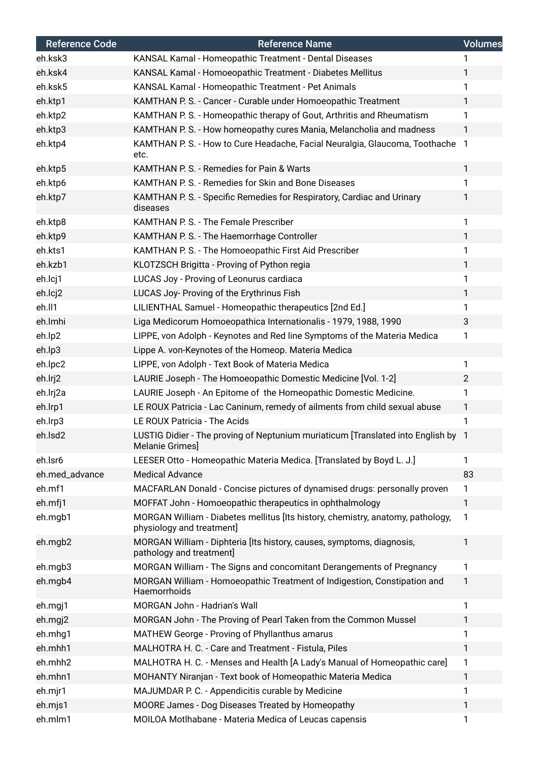| <b>Reference Code</b> | <b>Reference Name</b>                                                                                        | <b>Volumes</b> |
|-----------------------|--------------------------------------------------------------------------------------------------------------|----------------|
| eh.ksk3               | KANSAL Kamal - Homeopathic Treatment - Dental Diseases                                                       |                |
| eh.ksk4               | KANSAL Kamal - Homoeopathic Treatment - Diabetes Mellitus                                                    | 1              |
| eh.ksk5               | KANSAL Kamal - Homeopathic Treatment - Pet Animals                                                           | 1              |
| eh.ktp1               | KAMTHAN P. S. - Cancer - Curable under Homoeopathic Treatment                                                | 1              |
| eh.ktp2               | KAMTHAN P. S. - Homeopathic therapy of Gout, Arthritis and Rheumatism                                        | 1              |
| eh.ktp3               | KAMTHAN P. S. - How homeopathy cures Mania, Melancholia and madness                                          | 1              |
| eh.ktp4               | KAMTHAN P. S. - How to Cure Headache, Facial Neuralgia, Glaucoma, Toothache<br>etc.                          | -1             |
| eh.ktp5               | KAMTHAN P. S. - Remedies for Pain & Warts                                                                    | 1              |
| eh.ktp6               | KAMTHAN P. S. - Remedies for Skin and Bone Diseases                                                          | 1              |
| eh.ktp7               | KAMTHAN P. S. - Specific Remedies for Respiratory, Cardiac and Urinary<br>diseases                           | 1              |
| eh.ktp8               | KAMTHAN P. S. - The Female Prescriber                                                                        | 1              |
| eh.ktp9               | KAMTHAN P. S. - The Haemorrhage Controller                                                                   | 1              |
| eh.kts1               | KAMTHAN P. S. - The Homoeopathic First Aid Prescriber                                                        | 1              |
| eh.kzb1               | KLOTZSCH Brigitta - Proving of Python regia                                                                  | 1              |
| eh.lcj1               | LUCAS Joy - Proving of Leonurus cardiaca                                                                     | 1              |
| eh.lcj2               | LUCAS Joy- Proving of the Erythrinus Fish                                                                    | 1              |
| eh.ll1                | LILIENTHAL Samuel - Homeopathic therapeutics [2nd Ed.]                                                       | 1              |
| eh.lmhi               | Liga Medicorum Homoeopathica Internationalis - 1979, 1988, 1990                                              | 3              |
| eh.lp2                | LIPPE, von Adolph - Keynotes and Red line Symptoms of the Materia Medica                                     | 1              |
| eh.lp3                | Lippe A. von-Keynotes of the Homeop. Materia Medica                                                          |                |
| eh.lpc2               | LIPPE, von Adolph - Text Book of Materia Medica                                                              | 1              |
| eh.lrj2               | LAURIE Joseph - The Homoeopathic Domestic Medicine [Vol. 1-2]                                                | $\overline{2}$ |
| eh.lrj2a              | LAURIE Joseph - An Epitome of the Homeopathic Domestic Medicine.                                             | 1              |
| eh.lrp1               | LE ROUX Patricia - Lac Caninum, remedy of ailments from child sexual abuse                                   | 1              |
| eh.lrp3               | LE ROUX Patricia - The Acids                                                                                 | 1              |
| eh.lsd2               | LUSTIG Didier - The proving of Neptunium muriaticum [Translated into English by<br>Melanie Grimes]           | -1             |
| eh.lsr6               | LEESER Otto - Homeopathic Materia Medica. [Translated by Boyd L. J.]                                         | 1              |
| eh.med_advance        | <b>Medical Advance</b>                                                                                       | 83             |
| eh.mf1                | MACFARLAN Donald - Concise pictures of dynamised drugs: personally proven                                    | 1              |
| eh.mfj1               | MOFFAT John - Homoeopathic therapeutics in ophthalmology                                                     | 1              |
| eh.mgb1               | MORGAN William - Diabetes mellitus [Its history, chemistry, anatomy, pathology,<br>physiology and treatment] | 1              |
| eh.mgb2               | MORGAN William - Diphteria [Its history, causes, symptoms, diagnosis,<br>pathology and treatment]            | 1              |
| eh.mgb3               | MORGAN William - The Signs and concomitant Derangements of Pregnancy                                         | 1              |
| eh.mgb4               | MORGAN William - Homoeopathic Treatment of Indigestion, Constipation and<br>Haemorrhoids                     | 1              |
| eh.mgj1               | MORGAN John - Hadrian's Wall                                                                                 | 1              |
| eh.mgj2               | MORGAN John - The Proving of Pearl Taken from the Common Mussel                                              | 1              |
| eh.mhg1               | MATHEW George - Proving of Phyllanthus amarus                                                                | 1              |
| eh.mhh1               | MALHOTRA H. C. - Care and Treatment - Fistula, Piles                                                         | 1              |
| eh.mhh2               | MALHOTRA H. C. - Menses and Health [A Lady's Manual of Homeopathic care]                                     | 1              |
| eh.mhn1               | MOHANTY Niranjan - Text book of Homeopathic Materia Medica                                                   | 1              |
| eh.mjr1               | MAJUMDAR P. C. - Appendicitis curable by Medicine                                                            | 1              |
| eh.mjs1               | MOORE James - Dog Diseases Treated by Homeopathy                                                             | 1              |
| eh.mlm1               | MOILOA Motlhabane - Materia Medica of Leucas capensis                                                        | 1              |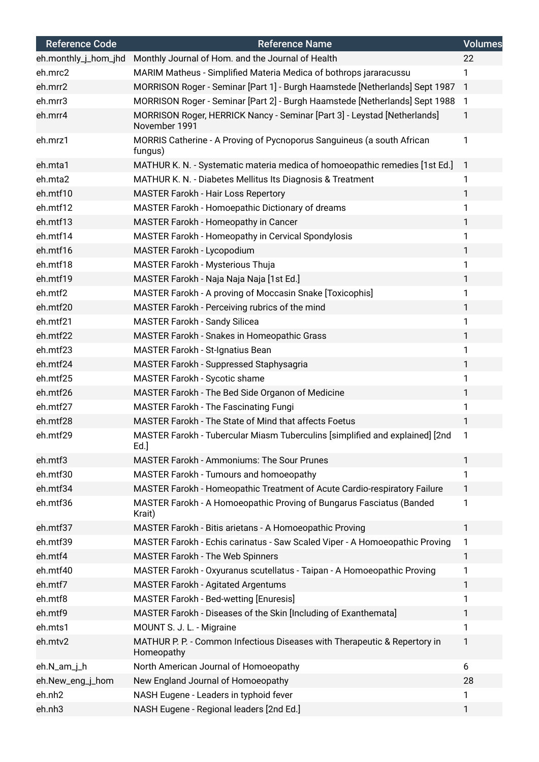| <b>Reference Code</b> | <b>Reference Name</b>                                                                     | <b>Volumes</b> |
|-----------------------|-------------------------------------------------------------------------------------------|----------------|
| eh.monthly_j_hom_jhd  | Monthly Journal of Hom. and the Journal of Health                                         | 22             |
| eh.mrc2               | MARIM Matheus - Simplified Materia Medica of bothrops jararacussu                         | 1              |
| eh.mrr2               | MORRISON Roger - Seminar [Part 1] - Burgh Haamstede [Netherlands] Sept 1987               | $\mathbf{1}$   |
| eh.mrr3               | MORRISON Roger - Seminar [Part 2] - Burgh Haamstede [Netherlands] Sept 1988               | $\mathbf{1}$   |
| eh.mrr4               | MORRISON Roger, HERRICK Nancy - Seminar [Part 3] - Leystad [Netherlands]<br>November 1991 | 1              |
| eh.mrz1               | MORRIS Catherine - A Proving of Pycnoporus Sanguineus (a south African<br>fungus)         | 1              |
| eh.mta1               | MATHUR K. N. - Systematic materia medica of homoeopathic remedies [1st Ed.]               | $\mathbf{1}$   |
| eh.mta2               | MATHUR K. N. - Diabetes Mellitus Its Diagnosis & Treatment                                | 1              |
| eh.mtf10              | <b>MASTER Farokh - Hair Loss Repertory</b>                                                | 1              |
| eh.mtf12              | MASTER Farokh - Homoepathic Dictionary of dreams                                          | 1              |
| eh.mtf13              | MASTER Farokh - Homeopathy in Cancer                                                      | 1              |
| eh.mtf14              | MASTER Farokh - Homeopathy in Cervical Spondylosis                                        | 1              |
| eh.mtf16              | MASTER Farokh - Lycopodium                                                                | 1              |
| eh.mtf18              | MASTER Farokh - Mysterious Thuja                                                          | 1              |
| eh.mtf19              | MASTER Farokh - Naja Naja Naja [1st Ed.]                                                  | 1              |
| eh.mtf2               | MASTER Farokh - A proving of Moccasin Snake [Toxicophis]                                  | 1              |
| eh.mtf20              | MASTER Farokh - Perceiving rubrics of the mind                                            | 1              |
| eh.mtf21              | <b>MASTER Farokh - Sandy Silicea</b>                                                      | 1              |
| eh.mtf22              | MASTER Farokh - Snakes in Homeopathic Grass                                               | 1              |
| eh.mtf23              | MASTER Farokh - St-Ignatius Bean                                                          | 1              |
| eh.mtf24              | MASTER Farokh - Suppressed Staphysagria                                                   | 1              |
| eh.mtf25              | MASTER Farokh - Sycotic shame                                                             | 1              |
| eh.mtf26              | MASTER Farokh - The Bed Side Organon of Medicine                                          | 1              |
| eh.mtf27              | <b>MASTER Farokh - The Fascinating Fungi</b>                                              | 1              |
| eh.mtf28              | MASTER Farokh - The State of Mind that affects Foetus                                     | 1              |
| eh.mtf29              | MASTER Farokh - Tubercular Miasm Tuberculins [simplified and explained] [2nd<br>$Ed.$ ]   | 1              |
| eh.mtf3               | <b>MASTER Farokh - Ammoniums: The Sour Prunes</b>                                         | 1              |
| eh.mtf30              | MASTER Farokh - Tumours and homoeopathy                                                   | 1              |
| eh.mtf34              | MASTER Farokh - Homeopathic Treatment of Acute Cardio-respiratory Failure                 | 1              |
| eh.mtf36              | MASTER Farokh - A Homoeopathic Proving of Bungarus Fasciatus (Banded<br>Krait)            | 1              |
| eh.mtf37              | MASTER Farokh - Bitis arietans - A Homoeopathic Proving                                   | 1              |
| eh.mtf39              | MASTER Farokh - Echis carinatus - Saw Scaled Viper - A Homoeopathic Proving               | 1              |
| eh.mtf4               | MASTER Farokh - The Web Spinners                                                          | 1              |
| eh.mtf40              | MASTER Farokh - Oxyuranus scutellatus - Taipan - A Homoeopathic Proving                   | 1              |
| eh.mtf7               | <b>MASTER Farokh - Agitated Argentums</b>                                                 | 1              |
| eh.mtf8               | MASTER Farokh - Bed-wetting [Enuresis]                                                    | 1              |
| eh.mtf9               | MASTER Farokh - Diseases of the Skin [Including of Exanthemata]                           | 1              |
| eh.mts1               | MOUNT S. J. L. - Migraine                                                                 | 1              |
| eh.mtv2               | MATHUR P. P. - Common Infectious Diseases with Therapeutic & Repertory in<br>Homeopathy   | 1              |
| eh.N_am_j_h           | North American Journal of Homoeopathy                                                     | 6              |
| eh.New_eng_j_hom      | New England Journal of Homoeopathy                                                        | 28             |
| eh.nh2                | NASH Eugene - Leaders in typhoid fever                                                    | 1              |
| eh.nh3                | NASH Eugene - Regional leaders [2nd Ed.]                                                  | 1              |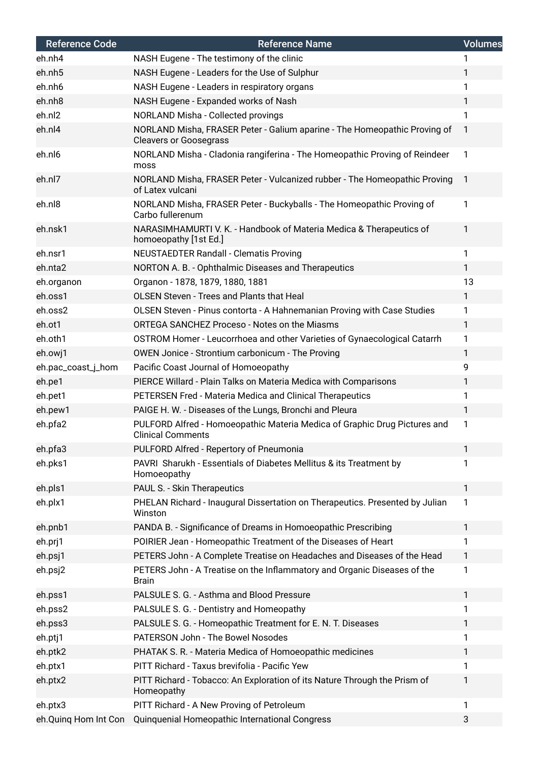| <b>Reference Code</b> | <b>Reference Name</b>                                                                                      | <b>Volumes</b> |
|-----------------------|------------------------------------------------------------------------------------------------------------|----------------|
| eh.nh4                | NASH Eugene - The testimony of the clinic                                                                  | 1              |
| eh.nh5                | NASH Eugene - Leaders for the Use of Sulphur                                                               | 1              |
| eh.nh6                | NASH Eugene - Leaders in respiratory organs                                                                | 1              |
| eh.nh8                | NASH Eugene - Expanded works of Nash                                                                       | 1              |
| eh.nl2                | NORLAND Misha - Collected provings                                                                         | 1              |
| eh.nl4                | NORLAND Misha, FRASER Peter - Galium aparine - The Homeopathic Proving of<br><b>Cleavers or Goosegrass</b> | $\mathbf{1}$   |
| eh.nl6                | NORLAND Misha - Cladonia rangiferina - The Homeopathic Proving of Reindeer<br>moss                         | 1              |
| eh.nl7                | NORLAND Misha, FRASER Peter - Vulcanized rubber - The Homeopathic Proving<br>of Latex vulcani              | $\mathbf{1}$   |
| eh.nl8                | NORLAND Misha, FRASER Peter - Buckyballs - The Homeopathic Proving of<br>Carbo fullerenum                  | 1              |
| eh.nsk1               | NARASIMHAMURTI V. K. - Handbook of Materia Medica & Therapeutics of<br>homoeopathy [1st Ed.]               | 1              |
| eh.nsr1               | <b>NEUSTAEDTER Randall - Clematis Proving</b>                                                              | 1              |
| eh.nta2               | NORTON A. B. - Ophthalmic Diseases and Therapeutics                                                        | $\mathbf{1}$   |
| eh.organon            | Organon - 1878, 1879, 1880, 1881                                                                           | 13             |
| eh.oss1               | <b>OLSEN Steven - Trees and Plants that Heal</b>                                                           | 1              |
| eh.oss2               | OLSEN Steven - Pinus contorta - A Hahnemanian Proving with Case Studies                                    | 1              |
| eh.ot1                | ORTEGA SANCHEZ Proceso - Notes on the Miasms                                                               | 1              |
| eh.oth1               | OSTROM Homer - Leucorrhoea and other Varieties of Gynaecological Catarrh                                   | 1              |
| eh.owj1               | OWEN Jonice - Strontium carbonicum - The Proving                                                           | 1              |
| eh.pac_coast_j_hom    | Pacific Coast Journal of Homoeopathy                                                                       | 9              |
| eh.pe1                | PIERCE Willard - Plain Talks on Materia Medica with Comparisons                                            | $\mathbf{1}$   |
| eh.pet1               | PETERSEN Fred - Materia Medica and Clinical Therapeutics                                                   | 1              |
| eh.pew1               | PAIGE H. W. - Diseases of the Lungs, Bronchi and Pleura                                                    | 1              |
| eh.pfa2               | PULFORD Alfred - Homoeopathic Materia Medica of Graphic Drug Pictures and<br><b>Clinical Comments</b>      | 1              |
| eh.pfa3               | PULFORD Alfred - Repertory of Pneumonia                                                                    | 1              |
| eh.pks1               | PAVRI Sharukh - Essentials of Diabetes Mellitus & its Treatment by<br>Homoeopathy                          | 1              |
| eh.pls1               | PAUL S. - Skin Therapeutics                                                                                | $\mathbf{1}$   |
| eh.plx1               | PHELAN Richard - Inaugural Dissertation on Therapeutics. Presented by Julian<br>Winston                    | 1              |
| eh.pnb1               | PANDA B. - Significance of Dreams in Homoeopathic Prescribing                                              | 1              |
| eh.prj1               | POIRIER Jean - Homeopathic Treatment of the Diseases of Heart                                              | 1              |
| eh.psj1               | PETERS John - A Complete Treatise on Headaches and Diseases of the Head                                    | 1              |
| eh.psj2               | PETERS John - A Treatise on the Inflammatory and Organic Diseases of the<br><b>Brain</b>                   | 1              |
| eh.pss1               | PALSULE S. G. - Asthma and Blood Pressure                                                                  | $\mathbf{1}$   |
| eh.pss2               | PALSULE S. G. - Dentistry and Homeopathy                                                                   | 1              |
| eh.pss3               | PALSULE S. G. - Homeopathic Treatment for E. N. T. Diseases                                                | 1              |
| eh.ptj1               | PATERSON John - The Bowel Nosodes                                                                          | 1              |
| eh.ptk2               | PHATAK S. R. - Materia Medica of Homoeopathic medicines                                                    | 1              |
| eh.ptx1               | PITT Richard - Taxus brevifolia - Pacific Yew                                                              | 1              |
| eh.ptx2               | PITT Richard - Tobacco: An Exploration of its Nature Through the Prism of<br>Homeopathy                    | 1              |
| eh.ptx3               | PITT Richard - A New Proving of Petroleum                                                                  | 1              |
| eh.Quinq Hom Int Con  | Quinquenial Homeopathic International Congress                                                             | 3              |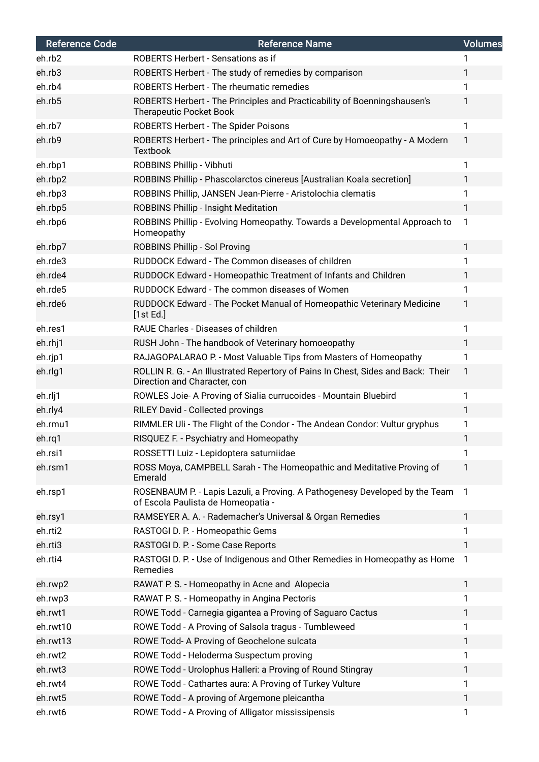| <b>Reference Code</b> | <b>Reference Name</b>                                                                                             | <b>Volumes</b> |
|-----------------------|-------------------------------------------------------------------------------------------------------------------|----------------|
| eh.rb2                | ROBERTS Herbert - Sensations as if                                                                                |                |
| eh.rb3                | ROBERTS Herbert - The study of remedies by comparison                                                             | 1              |
| eh.rb4                | <b>ROBERTS Herbert - The rheumatic remedies</b>                                                                   | 1              |
| eh.rb5                | ROBERTS Herbert - The Principles and Practicability of Boenningshausen's<br><b>Therapeutic Pocket Book</b>        | 1              |
| eh.rb7                | <b>ROBERTS Herbert - The Spider Poisons</b>                                                                       | 1              |
| eh.rb9                | ROBERTS Herbert - The principles and Art of Cure by Homoeopathy - A Modern<br><b>Textbook</b>                     | 1              |
| eh.rbp1               | ROBBINS Phillip - Vibhuti                                                                                         | 1              |
| eh.rbp2               | ROBBINS Phillip - Phascolarctos cinereus [Australian Koala secretion]                                             | 1              |
| eh.rbp3               | ROBBINS Phillip, JANSEN Jean-Pierre - Aristolochia clematis                                                       | 1              |
| eh.rbp5               | <b>ROBBINS Phillip - Insight Meditation</b>                                                                       | 1              |
| eh.rbp6               | ROBBINS Phillip - Evolving Homeopathy. Towards a Developmental Approach to<br>Homeopathy                          | 1              |
| eh.rbp7               | <b>ROBBINS Phillip - Sol Proving</b>                                                                              | 1              |
| eh.rde3               | RUDDOCK Edward - The Common diseases of children                                                                  | 1              |
| eh.rde4               | RUDDOCK Edward - Homeopathic Treatment of Infants and Children                                                    | 1              |
| eh.rde5               | RUDDOCK Edward - The common diseases of Women                                                                     | 1              |
| eh.rde6               | RUDDOCK Edward - The Pocket Manual of Homeopathic Veterinary Medicine<br>[1st Ed.]                                | 1              |
| eh.res1               | RAUE Charles - Diseases of children                                                                               | 1              |
| eh.rhj1               | RUSH John - The handbook of Veterinary homoeopathy                                                                | 1              |
| eh.rjp1               | RAJAGOPALARAO P. - Most Valuable Tips from Masters of Homeopathy                                                  | 1              |
| eh.rlg1               | ROLLIN R. G. - An Illustrated Repertory of Pains In Chest, Sides and Back: Their<br>Direction and Character, con  | 1              |
| eh.rlj1               | ROWLES Joie- A Proving of Sialia currucoides - Mountain Bluebird                                                  | 1              |
| eh.rly4               | RILEY David - Collected provings                                                                                  | 1              |
| eh.rmu1               | RIMMLER Uli - The Flight of the Condor - The Andean Condor: Vultur gryphus                                        |                |
| eh.rg1                | RISQUEZ F. - Psychiatry and Homeopathy                                                                            |                |
| eh.rsi1               | ROSSETTI Luiz - Lepidoptera saturniidae                                                                           | 1              |
| eh.rsm1               | ROSS Moya, CAMPBELL Sarah - The Homeopathic and Meditative Proving of<br>Emerald                                  | 1              |
| eh.rsp1               | ROSENBAUM P. - Lapis Lazuli, a Proving. A Pathogenesy Developed by the Team<br>of Escola Paulista de Homeopatia - | -1             |
| eh.rsy1               | RAMSEYER A. A. - Rademacher's Universal & Organ Remedies                                                          | $\mathbf{1}$   |
| eh.rti2               | RASTOGI D. P. - Homeopathic Gems                                                                                  | 1              |
| eh.rti3               | RASTOGI D. P. - Some Case Reports                                                                                 | 1              |
| eh.rti4               | RASTOGI D. P. - Use of Indigenous and Other Remedies in Homeopathy as Home<br>Remedies                            | 1              |
| eh.rwp2               | RAWAT P. S. - Homeopathy in Acne and Alopecia                                                                     | 1              |
| eh.rwp3               | RAWAT P. S. - Homeopathy in Angina Pectoris                                                                       | 1              |
| eh.rwt1               | ROWE Todd - Carnegia gigantea a Proving of Saguaro Cactus                                                         | 1              |
| eh.rwt10              | ROWE Todd - A Proving of Salsola tragus - Tumbleweed                                                              | 1              |
| eh.rwt13              | ROWE Todd- A Proving of Geochelone sulcata                                                                        | 1              |
| eh.rwt2               | ROWE Todd - Heloderma Suspectum proving                                                                           | 1              |
| eh.rwt3               | ROWE Todd - Urolophus Halleri: a Proving of Round Stingray                                                        | 1              |
| eh.rwt4               | ROWE Todd - Cathartes aura: A Proving of Turkey Vulture                                                           | 1              |
| eh.rwt5               | ROWE Todd - A proving of Argemone pleicantha                                                                      | 1              |
| eh.rwt6               | ROWE Todd - A Proving of Alligator mississipensis                                                                 | 1              |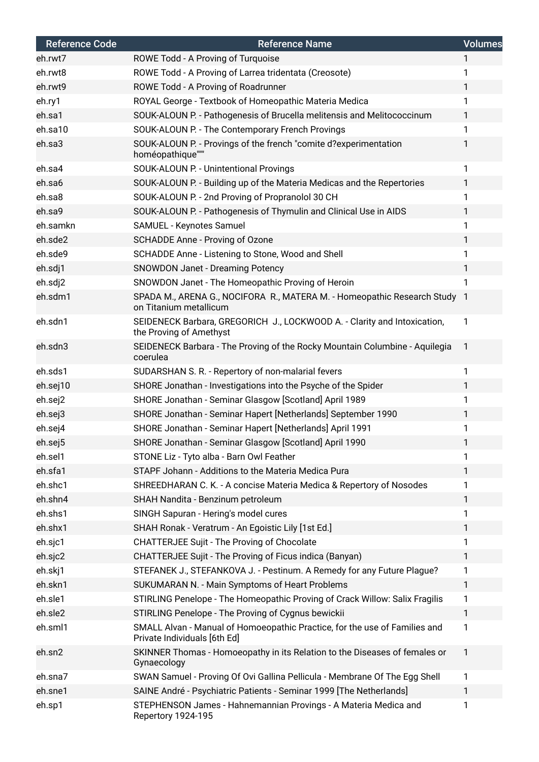| <b>Reference Code</b> | <b>Reference Name</b>                                                                                      | <b>Volumes</b> |
|-----------------------|------------------------------------------------------------------------------------------------------------|----------------|
| eh.rwt7               | ROWE Todd - A Proving of Turquoise                                                                         | 1              |
| eh.rwt8               | ROWE Todd - A Proving of Larrea tridentata (Creosote)                                                      | 1              |
| eh.rwt9               | ROWE Todd - A Proving of Roadrunner                                                                        | 1.             |
| eh.ry1                | ROYAL George - Textbook of Homeopathic Materia Medica                                                      | 1              |
| eh.sa1                | SOUK-ALOUN P. - Pathogenesis of Brucella melitensis and Melitococcinum                                     | 1              |
| eh.sa10               | SOUK-ALOUN P. - The Contemporary French Provings                                                           | 1              |
| eh.sa3                | SOUK-ALOUN P. - Provings of the french "comite d?experimentation<br>homéopathique""                        | 1              |
| eh.sa4                | SOUK-ALOUN P. - Unintentional Provings                                                                     | 1              |
| eh.sa6                | SOUK-ALOUN P. - Building up of the Materia Medicas and the Repertories                                     | 1              |
| eh.sa8                | SOUK-ALOUN P. - 2nd Proving of Propranolol 30 CH                                                           | 1              |
| eh.sa9                | SOUK-ALOUN P. - Pathogenesis of Thymulin and Clinical Use in AIDS                                          | 1              |
| eh.samkn              | SAMUEL - Keynotes Samuel                                                                                   | 1              |
| eh.sde2               | SCHADDE Anne - Proving of Ozone                                                                            | 1              |
| eh.sde9               | SCHADDE Anne - Listening to Stone, Wood and Shell                                                          | 1              |
| eh.sdj1               | <b>SNOWDON Janet - Dreaming Potency</b>                                                                    | 1              |
| eh.sdj2               | SNOWDON Janet - The Homeopathic Proving of Heroin                                                          | 1              |
| eh.sdm1               | SPADA M., ARENA G., NOCIFORA R., MATERA M. - Homeopathic Research Study 1<br>on Titanium metallicum        |                |
| eh.sdn1               | SEIDENECK Barbara, GREGORICH J., LOCKWOOD A. - Clarity and Intoxication,<br>the Proving of Amethyst        | $\mathbf{1}$   |
| eh.sdn3               | SEIDENECK Barbara - The Proving of the Rocky Mountain Columbine - Aquilegia<br>coerulea                    | 1              |
| eh.sds1               | SUDARSHAN S. R. - Repertory of non-malarial fevers                                                         | 1              |
| eh.sej10              | SHORE Jonathan - Investigations into the Psyche of the Spider                                              | 1              |
| eh.sej2               | SHORE Jonathan - Seminar Glasgow [Scotland] April 1989                                                     |                |
| eh.sej3               | SHORE Jonathan - Seminar Hapert [Netherlands] September 1990                                               | 1              |
| eh.sej4               | SHORE Jonathan - Seminar Hapert [Netherlands] April 1991                                                   | 1              |
| eh.sej5               | SHORE Jonathan - Seminar Glasgow [Scotland] April 1990                                                     |                |
| eh.sel1               | STONE Liz - Tyto alba - Barn Owl Feather                                                                   | 1              |
| eh.sfa1               | STAPF Johann - Additions to the Materia Medica Pura                                                        | 1              |
| eh.shc1               | SHREEDHARAN C. K. - A concise Materia Medica & Repertory of Nosodes                                        | 1              |
| eh.shn4               | SHAH Nandita - Benzinum petroleum                                                                          | 1              |
| eh.shs1               | SINGH Sapuran - Hering's model cures                                                                       | 1              |
| eh.shx1               | SHAH Ronak - Veratrum - An Egoistic Lily [1st Ed.]                                                         | 1              |
| eh.sjc1               | <b>CHATTERJEE Sujit - The Proving of Chocolate</b>                                                         | 1              |
| eh.sjc2               | CHATTERJEE Sujit - The Proving of Ficus indica (Banyan)                                                    | 1              |
| eh.skj1               | STEFANEK J., STEFANKOVA J. - Pestinum. A Remedy for any Future Plague?                                     | 1              |
| eh.skn1               | SUKUMARAN N. - Main Symptoms of Heart Problems                                                             | 1              |
| eh.sle1               | STIRLING Penelope - The Homeopathic Proving of Crack Willow: Salix Fragilis                                | 1              |
| eh.sle2               | STIRLING Penelope - The Proving of Cygnus bewickii                                                         | 1              |
| eh.sml1               | SMALL Alvan - Manual of Homoeopathic Practice, for the use of Families and<br>Private Individuals [6th Ed] | 1              |
| eh.sn2                | SKINNER Thomas - Homoeopathy in its Relation to the Diseases of females or<br>Gynaecology                  | $\mathbf{1}$   |
| eh.sna7               | SWAN Samuel - Proving Of Ovi Gallina Pellicula - Membrane Of The Egg Shell                                 | 1              |
| eh.sne1               | SAINE André - Psychiatric Patients - Seminar 1999 [The Netherlands]                                        | 1              |
| eh.sp1                | STEPHENSON James - Hahnemannian Provings - A Materia Medica and<br>Repertory 1924-195                      | 1              |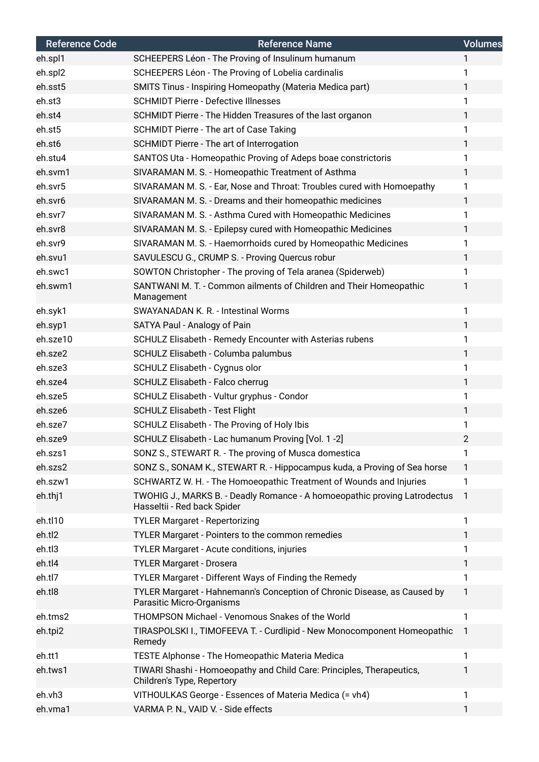| <b>Reference Code</b> | <b>Reference Name</b>                                                                                    | <b>Volumes</b> |
|-----------------------|----------------------------------------------------------------------------------------------------------|----------------|
| eh.spl1               | SCHEEPERS Léon - The Proving of Insulinum humanum                                                        | $\mathbf{1}$   |
| eh.spl2               | SCHEEPERS Léon - The Proving of Lobelia cardinalis                                                       | 1              |
| eh.sst5               | <b>SMITS Tinus - Inspiring Homeopathy (Materia Medica part)</b>                                          | 1              |
| eh.st3                | <b>SCHMIDT Pierre - Defective Illnesses</b>                                                              | 1              |
| eh.st4                | SCHMIDT Pierre - The Hidden Treasures of the last organon                                                | 1              |
| eh.st5                | SCHMIDT Pierre - The art of Case Taking                                                                  | 1              |
| eh.st6                | SCHMIDT Pierre - The art of Interrogation                                                                | 1              |
| eh.stu4               | SANTOS Uta - Homeopathic Proving of Adeps boae constrictoris                                             | 1              |
| eh.svm1               | SIVARAMAN M. S. - Homeopathic Treatment of Asthma                                                        | 1              |
| eh.svr5               | SIVARAMAN M. S. - Ear, Nose and Throat: Troubles cured with Homoepathy                                   | 1              |
| eh.svr6               | SIVARAMAN M. S. - Dreams and their homeopathic medicines                                                 | 1              |
| eh.svr7               | SIVARAMAN M. S. - Asthma Cured with Homeopathic Medicines                                                | 1              |
| eh.svr8               | SIVARAMAN M. S. - Epilepsy cured with Homeopathic Medicines                                              | 1              |
| eh.svr9               | SIVARAMAN M. S. - Haemorrhoids cured by Homeopathic Medicines                                            | 1              |
| eh.svu1               | SAVULESCU G., CRUMP S. - Proving Quercus robur                                                           | 1              |
| eh.swc1               | SOWTON Christopher - The proving of Tela aranea (Spiderweb)                                              | 1              |
| eh.swm1               | SANTWANI M. T. - Common ailments of Children and Their Homeopathic<br>Management                         | 1              |
| eh.syk1               | <b>SWAYANADAN K. R. - Intestinal Worms</b>                                                               | 1              |
| eh.syp1               | SATYA Paul - Analogy of Pain                                                                             | 1              |
| eh.sze10              | SCHULZ Elisabeth - Remedy Encounter with Asterias rubens                                                 | 1              |
| eh.sze2               | SCHULZ Elisabeth - Columba palumbus                                                                      | 1              |
| eh.sze3               | SCHULZ Elisabeth - Cygnus olor                                                                           | 1              |
| eh.sze4               | SCHULZ Elisabeth - Falco cherrug                                                                         | $\mathbf{1}$   |
| eh.sze5               | SCHULZ Elisabeth - Vultur gryphus - Condor                                                               | 1              |
| eh.sze6               | <b>SCHULZ Elisabeth - Test Flight</b>                                                                    | 1              |
| eh.sze7               | SCHULZ Elisabeth - The Proving of Holy Ibis                                                              | 1              |
| eh.sze9               | SCHULZ Elisabeth - Lac humanum Proving [Vol. 1 -2]                                                       | 2              |
| eh.szs1               | SONZ S., STEWART R. - The proving of Musca domestica                                                     | 1              |
| eh.szs2               | SONZ S., SONAM K., STEWART R. - Hippocampus kuda, a Proving of Sea horse                                 | 1              |
| eh.szw1               | SCHWARTZ W. H. - The Homoeopathic Treatment of Wounds and Injuries                                       | 1              |
| eh.thj1               | TWOHIG J., MARKS B. - Deadly Romance - A homoeopathic proving Latrodectus<br>Hasseltii - Red back Spider | -1             |
| eh.tl10               | <b>TYLER Margaret - Repertorizing</b>                                                                    | 1              |
| eh.tl2                | TYLER Margaret - Pointers to the common remedies                                                         | 1              |
| eh.tl3                | TYLER Margaret - Acute conditions, injuries                                                              | 1              |
| eh.tl4                | <b>TYLER Margaret - Drosera</b>                                                                          | 1              |
| eh.tl7                | TYLER Margaret - Different Ways of Finding the Remedy                                                    | 1              |
| eh.tl8                | TYLER Margaret - Hahnemann's Conception of Chronic Disease, as Caused by<br>Parasitic Micro-Organisms    | 1              |
| eh.tms2               | THOMPSON Michael - Venomous Snakes of the World                                                          | 1              |
| eh.tpi2               | TIRASPOLSKI I., TIMOFEEVA T. - Curdlipid - New Monocomponent Homeopathic<br>Remedy                       | -1             |
| eh.tt1                | TESTE Alphonse - The Homeopathic Materia Medica                                                          | 1              |
| eh.tws1               | TIWARI Shashi - Homoeopathy and Child Care: Principles, Therapeutics,<br>Children's Type, Repertory      | 1              |
| eh.vh3                | VITHOULKAS George - Essences of Materia Medica (= vh4)                                                   | 1              |
| eh.vma1               | VARMA P. N., VAID V. - Side effects                                                                      | 1              |